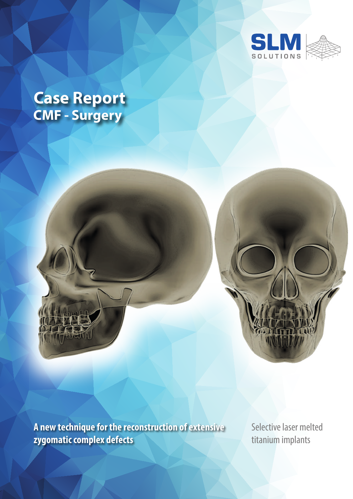

# **CMF - Surgery Case Report**



**A new technique for the reconstruction of extensive zygomatic complex defects**

Selective laser melted titanium implants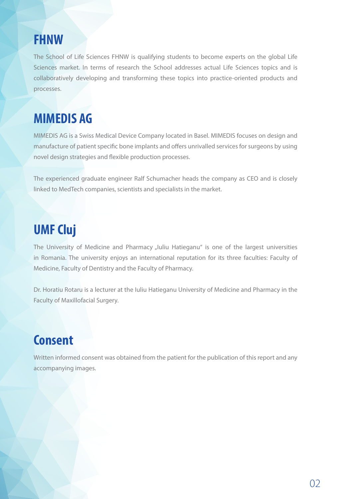### **FHNW**

The School of Life Sciences FHNW is qualifying students to become experts on the global Life Sciences market. In terms of research the School addresses actual Life Sciences topics and is collaboratively developing and transforming these topics into practice-oriented products and processes.

# **MIMEDIS AG**

MIMEDIS AG is a Swiss Medical Device Company located in Basel. MIMEDIS focuses on design and manufacture of patient specific bone implants and offers unrivalled services for surgeons by using novel design strategies and flexible production processes.

The experienced graduate engineer Ralf Schumacher heads the company as CEO and is closely linked to MedTech companies, scientists and specialists in the market.

# **UMF Cluj**

The University of Medicine and Pharmacy "Iuliu Hatieganu" is one of the largest universities in Romania. The university enjoys an international reputation for its three faculties: Faculty of Medicine, Faculty of Dentistry and the Faculty of Pharmacy.

Dr. Horatiu Rotaru is a lecturer at the Iuliu Hatieganu University of Medicine and Pharmacy in the Faculty of Maxillofacial Surgery.

# **Consent**

Written informed consent was obtained from the patient for the publication of this report and any accompanying images.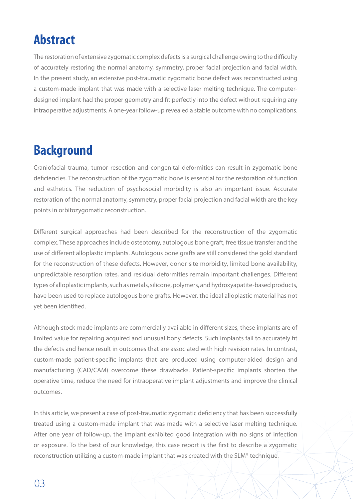# **Abstract**

The restoration of extensive zygomatic complex defects is a surgical challenge owing to the difficulty of accurately restoring the normal anatomy, symmetry, proper facial projection and facial width. In the present study, an extensive post-traumatic zygomatic bone defect was reconstructed using a custom-made implant that was made with a selective laser melting technique. The computerdesigned implant had the proper geometry and fit perfectly into the defect without requiring any intraoperative adjustments. A one-year follow-up revealed a stable outcome with no complications.

### **Background**

Craniofacial trauma, tumor resection and congenital deformities can result in zygomatic bone deficiencies. The reconstruction of the zygomatic bone is essential for the restoration of function and esthetics. The reduction of psychosocial morbidity is also an important issue. Accurate restoration of the normal anatomy, symmetry, proper facial projection and facial width are the key points in orbitozygomatic reconstruction.

Different surgical approaches had been described for the reconstruction of the zygomatic complex. These approaches include osteotomy, autologous bone graft, free tissue transfer and the use of different alloplastic implants. Autologous bone grafts are still considered the gold standard for the reconstruction of these defects. However, donor site morbidity, limited bone availability, unpredictable resorption rates, and residual deformities remain important challenges. Different types of alloplastic implants, such as metals, silicone, polymers, and hydroxyapatite-based products, have been used to replace autologous bone grafts. However, the ideal alloplastic material has not yet been identified.

Although stock-made implants are commercially available in different sizes, these implants are of limited value for repairing acquired and unusual bony defects. Such implants fail to accurately fit the defects and hence result in outcomes that are associated with high revision rates. In contrast, custom-made patient-specific implants that are produced using computer-aided design and manufacturing (CAD/CAM) overcome these drawbacks. Patient-specific implants shorten the operative time, reduce the need for intraoperative implant adjustments and improve the clinical outcomes.

In this article, we present a case of post-traumatic zygomatic deficiency that has been successfully treated using a custom-made implant that was made with a selective laser melting technique. After one year of follow-up, the implant exhibited good integration with no signs of infection or exposure. To the best of our knowledge, this case report is the first to describe a zygomatic reconstruction utilizing a custom-made implant that was created with the SLM® technique.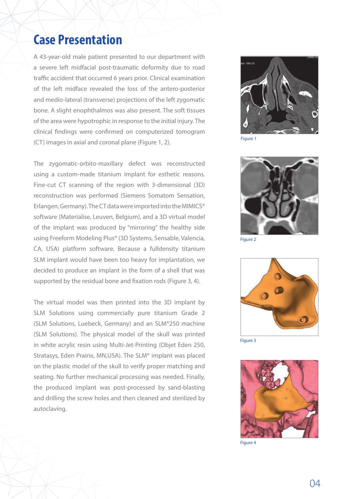#### **Case Presentation**

A 43-year-old male patient presented to our department with a severe left midfacial post-traumatic deformity due to road traffic accident that occurred 6 years prior. Clinical examination of the left midface revealed the loss of the antero-posterior and medio-lateral (transverse) projections of the left zygomatic bone. A slight enophthalmos was also present. The soft tissues of the area were hypotrophic in response to the initial injury. The clinical findings were confirmed on computerized tomogram (CT) images in axial and coronal plane (Figure 1, 2).

The zygomatic-orbito-maxillary defect was reconstructed using a custom-made titanium implant for esthetic reasons. Fine-cut CT scanning of the region with 3-dimensional (3D) reconstruction was performed (Siemens Somatom Sensation, Erlangen, Germany). The CT data were imported into the MIMICS® software (Materialise, Leuven, Belgium), and a 3D virtual model of the implant was produced by "mirroring" the healthy side using Freeform Modeling Plus® (3D Systems, Sensable, Valencia, CA, USA) platform software. Because a fulldensity titanium SLM implant would have been too heavy for implantation, we decided to produce an implant in the form of a shell that was supported by the residual bone and fixation rods (Figure 3, 4).

The virtual model was then printed into the 3D implant by SLM Solutions using commercially pure titanium Grade 2 (SLM Solutions, Luebeck, Germany) and an SLM®250 machine (SLM Solutions). The physical model of the skull was printed in white acrylic resin using Multi-Jet-Printing (Objet Eden 250, Stratasys, Eden Prairie, MN,USA). The SLM® implant was placed on the plastic model of the skull to verify proper matching and seating. No further mechanical processing was needed. Finally, the produced implant was post-processed by sand-blasting and drilling the screw holes and then cleaned and sterilized by autoclaving.



Figure 1



Figure 2



Figure 3



Figure 4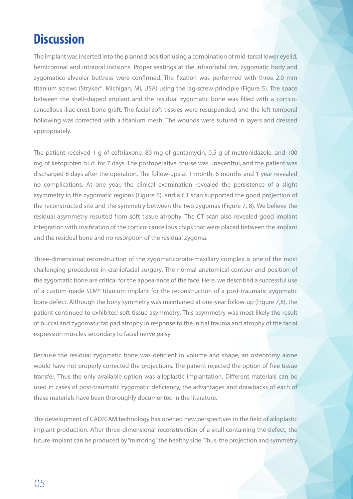## **Discussion**

The implant was inserted into the planned position using a combination of mid-tarsal lower eyelid, hemicoronal and intraoral incisions. Proper seatings at the infraorbital rim, zygomatic body and zygomatico-alveolar buttress were confirmed. The fixation was performed with three 2.0 mm titanium screws (Stryker®, Michigan, MI, USA) using the lag-screw principle (Figure 5). The space between the shell-shaped implant and the residual zygomatic bone was filled with a corticocancellous iliac crest bone graft. The facial soft tissues were resuspended, and the left temporal hollowing was corrected with a titanium mesh. The wounds were sutured in layers and dressed appropriately.

The patient received 1 g of ceftriaxone, 80 mg of gentamycin, 0.5 g of metronidazole, and 100 mg of ketoprofen b.i.d. for 7 days. The postoperative course was uneventful, and the patient was discharged 8 days after the operation. The follow-ups at 1 month, 6 months and 1 year revealed no complications. At one year, the clinical examination revealed the persistence of a slight asymmetry in the zygomatic regions (Figure 6), and a CT scan supported the good projection of the reconstructed site and the symmetry between the two zygomas (Figure 7, 8). We believe the residual asymmetry resulted from soft tissue atrophy. The CT scan also revealed good implant integration with ossification of the cortico-cancellous chips that were placed between the implant and the residual bone and no resorption of the residual zygoma.

Three-dimensional reconstruction of the zygomaticorbito-maxillary complex is one of the most challenging procedures in craniofacial surgery. The normal anatomical contour and position of the zygomatic bone are critical for the appearance of the face. Here, we described a successful use of a custom-made SLM® titanium implant for the reconstruction of a post-traumatic zygomatic bone defect. Although the bony symmetry was maintained at one-year follow-up (Figure 7,8), the patient continued to exhibited soft tissue asymmetry. This asymmetry was most likely the result of buccal and zygomatic fat pad atrophy in response to the initial trauma and atrophy of the facial expression muscles secondary to facial nerve palsy.

Because the residual zygomatic bone was deficient in volume and shape, an osteotomy alone would have not properly corrected the projections. The patient rejected the option of free tissue transfer. Thus the only available option was alloplastic implantation. Different materials can be used in cases of post-traumatic zygomatic deficiency, the advantages and drawbacks of each of these materials have been thoroughly documented in the literature.

The development of CAD/CAM technology has opened new perspectives in the field of alloplastic implant production. After three-dimensional reconstruction of a skull containing the defect, the future implant can be produced by "mirroring" the healthy side. Thus, the projection and symmetry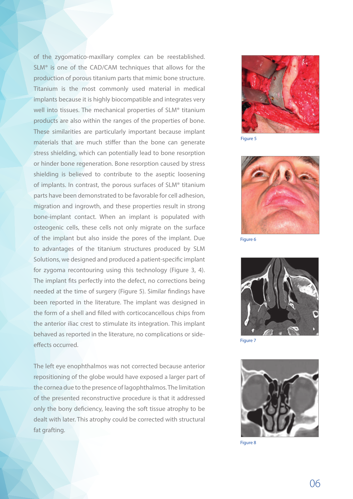of the zygomatico-maxillary complex can be reestablished. SLM® is one of the CAD/CAM techniques that allows for the production of porous titanium parts that mimic bone structure. Titanium is the most commonly used material in medical implants because it is highly biocompatible and integrates very well into tissues. The mechanical properties of SLM® titanium products are also within the ranges of the properties of bone. These similarities are particularly important because implant materials that are much stiffer than the bone can generate stress shielding, which can potentially lead to bone resorption or hinder bone regeneration. Bone resorption caused by stress shielding is believed to contribute to the aseptic loosening of implants. In contrast, the porous surfaces of SLM® titanium parts have been demonstrated to be favorable for cell adhesion, migration and ingrowth, and these properties result in strong bone-implant contact. When an implant is populated with osteogenic cells, these cells not only migrate on the surface of the implant but also inside the pores of the implant. Due to advantages of the titanium structures produced by SLM Solutions, we designed and produced a patient-specific implant for zygoma recontouring using this technology (Figure 3, 4). The implant fits perfectly into the defect, no corrections being needed at the time of surgery (Figure 5). Similar findings have been reported in the literature. The implant was designed in the form of a shell and filled with corticocancellous chips from the anterior iliac crest to stimulate its integration. This implant behaved as reported in the literature, no complications or sideeffects occurred.

The left eye enophthalmos was not corrected because anterior repositioning of the globe would have exposed a larger part of the cornea due to the presence of lagophthalmos. The limitation of the presented reconstructive procedure is that it addressed only the bony deficiency, leaving the soft tissue atrophy to be dealt with later. This atrophy could be corrected with structural fat grafting.



Figure 5



Figure 6



Figure 7



Figure 8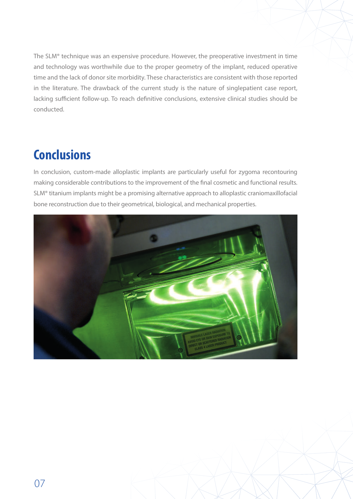The SLM® technique was an expensive procedure. However, the preoperative investment in time and technology was worthwhile due to the proper geometry of the implant, reduced operative time and the lack of donor site morbidity. These characteristics are consistent with those reported in the literature. The drawback of the current study is the nature of singlepatient case report, lacking sufficient follow-up. To reach definitive conclusions, extensive clinical studies should be conducted.

# **Conclusions**

In conclusion, custom-made alloplastic implants are particularly useful for zygoma recontouring making considerable contributions to the improvement of the final cosmetic and functional results. SLM® titanium implants might be a promising alternative approach to alloplastic craniomaxillofacial bone reconstruction due to their geometrical, biological, and mechanical properties.